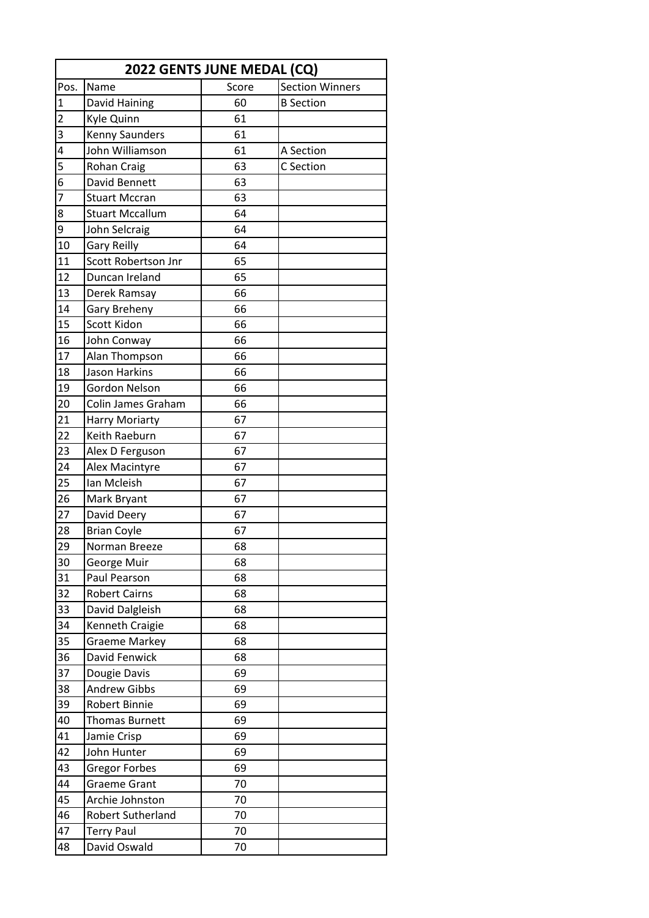| 2022 GENTS JUNE MEDAL (CQ) |                        |       |                        |  |
|----------------------------|------------------------|-------|------------------------|--|
| Pos.                       | Name                   | Score | <b>Section Winners</b> |  |
| $\mathbf{1}$               | David Haining          | 60    | <b>B</b> Section       |  |
| $\overline{2}$             | Kyle Quinn             | 61    |                        |  |
| 3                          | <b>Kenny Saunders</b>  | 61    |                        |  |
| 4                          | John Williamson        | 61    | A Section              |  |
| $\overline{5}$             | Rohan Craig            | 63    | C Section              |  |
| $\overline{6}$             | David Bennett          | 63    |                        |  |
| $\overline{7}$             | <b>Stuart Mccran</b>   | 63    |                        |  |
| 8                          | <b>Stuart Mccallum</b> | 64    |                        |  |
| $\overline{9}$             | John Selcraig          | 64    |                        |  |
| 10                         | <b>Gary Reilly</b>     | 64    |                        |  |
| 11                         | Scott Robertson Jnr    | 65    |                        |  |
| 12                         | Duncan Ireland         | 65    |                        |  |
| 13                         | Derek Ramsay           | 66    |                        |  |
| 14                         | Gary Breheny           | 66    |                        |  |
| 15                         | Scott Kidon            | 66    |                        |  |
| 16                         | John Conway            | 66    |                        |  |
| 17                         | Alan Thompson          | 66    |                        |  |
| 18                         | Jason Harkins          | 66    |                        |  |
| 19                         | Gordon Nelson          | 66    |                        |  |
| 20                         | Colin James Graham     | 66    |                        |  |
| 21                         | <b>Harry Moriarty</b>  | 67    |                        |  |
| 22                         | Keith Raeburn          | 67    |                        |  |
| 23                         | Alex D Ferguson        | 67    |                        |  |
| 24                         | Alex Macintyre         | 67    |                        |  |
| 25                         | Ian Mcleish            | 67    |                        |  |
| 26                         | Mark Bryant            | 67    |                        |  |
| 27                         | David Deery            | 67    |                        |  |
| 28                         | <b>Brian Coyle</b>     | 67    |                        |  |
| $\overline{2}9$            | Norman Breeze          | 68    |                        |  |
| 30                         | George Muir            | 68    |                        |  |
| 31                         | Paul Pearson           | 68    |                        |  |
| 32                         | <b>Robert Cairns</b>   | 68    |                        |  |
| 33                         | David Dalgleish        | 68    |                        |  |
| 34                         | Kenneth Craigie        | 68    |                        |  |
| 35                         | <b>Graeme Markey</b>   | 68    |                        |  |
| 36                         | David Fenwick          | 68    |                        |  |
| 37                         | Dougie Davis           | 69    |                        |  |
| 38                         | <b>Andrew Gibbs</b>    | 69    |                        |  |
| 39                         | Robert Binnie          | 69    |                        |  |
| 40                         | <b>Thomas Burnett</b>  | 69    |                        |  |
| 41                         | Jamie Crisp            | 69    |                        |  |
| 42                         | John Hunter            | 69    |                        |  |
| 43                         | <b>Gregor Forbes</b>   | 69    |                        |  |
| 44                         | <b>Graeme Grant</b>    | 70    |                        |  |
| 45                         | Archie Johnston        | 70    |                        |  |
| 46                         | Robert Sutherland      | 70    |                        |  |
| 47                         | <b>Terry Paul</b>      | 70    |                        |  |
| 48                         | David Oswald           | 70    |                        |  |